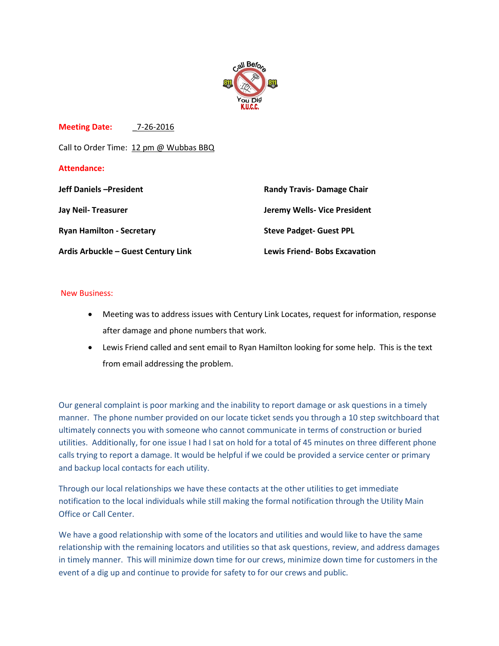

**Meeting Date:** \_7-26-2016

Call to Order Time: 12 pm @ Wubbas BBQ

## **Attendance:**

| <b>Jeff Daniels - President</b>     | <b>Randy Travis- Damage Chair</b>    |
|-------------------------------------|--------------------------------------|
| Jay Neil-Treasurer                  | Jeremy Wells- Vice President         |
| <b>Ryan Hamilton - Secretary</b>    | <b>Steve Padget- Guest PPL</b>       |
| Ardis Arbuckle - Guest Century Link | <b>Lewis Friend- Bobs Excavation</b> |

## New Business:

- Meeting was to address issues with Century Link Locates, request for information, response after damage and phone numbers that work.
- Lewis Friend called and sent email to Ryan Hamilton looking for some help. This is the text from email addressing the problem.

Our general complaint is poor marking and the inability to report damage or ask questions in a timely manner. The phone number provided on our locate ticket sends you through a 10 step switchboard that ultimately connects you with someone who cannot communicate in terms of construction or buried utilities. Additionally, for one issue I had I sat on hold for a total of 45 minutes on three different phone calls trying to report a damage. It would be helpful if we could be provided a service center or primary and backup local contacts for each utility.

Through our local relationships we have these contacts at the other utilities to get immediate notification to the local individuals while still making the formal notification through the Utility Main Office or Call Center.

We have a good relationship with some of the locators and utilities and would like to have the same relationship with the remaining locators and utilities so that ask questions, review, and address damages in timely manner. This will minimize down time for our crews, minimize down time for customers in the event of a dig up and continue to provide for safety to for our crews and public.